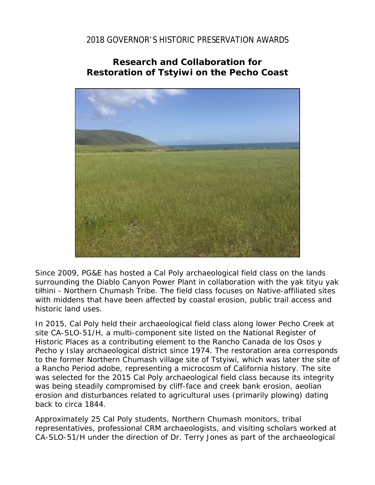## 2018 GOVERNOR'S HISTORIC PRESERVATION AWARDS

## **Research and Collaboration for Restoration of** *Tstyiwi* **on the Pecho Coast**



Since 2009, PG&E has hosted a Cal Poly archaeological field class on the lands surrounding the Diablo Canyon Power Plant in collaboration with the yak tityu yak tiłhini - Northern Chumash Tribe. The field class focuses on Native-affiliated sites with middens that have been affected by coastal erosion, public trail access and historic land uses.

In 2015, Cal Poly held their archaeological field class along lower Pecho Creek at site CA-SLO-51/H, a multi-component site listed on the National Register of Historic Places as a contributing element to the *Rancho Canada de los Osos y Pecho y Islay* archaeological district since 1974. The restoration area corresponds to the former Northern Chumash village site of *Tstyiwi*, which was later the site of a Rancho Period adobe, representing a microcosm of California history. The site was selected for the 2015 Cal Poly archaeological field class because its integrity was being steadily compromised by cliff-face and creek bank erosion, aeolian erosion and disturbances related to agricultural uses (primarily plowing) dating back to circa 1844.

Approximately 25 Cal Poly students, Northern Chumash monitors, tribal representatives, professional CRM archaeologists, and visiting scholars worked at CA-SLO-51/H under the direction of Dr. Terry Jones as part of the archaeological